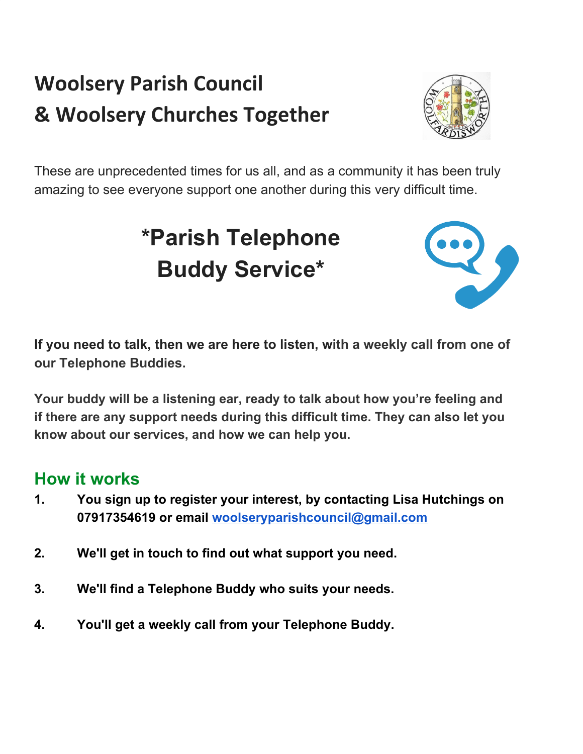## **Woolsery Parish Council & Woolsery Churches Together**



These are unprecedented times for us all, and as a community it has been truly amazing to see everyone support one another during this very difficult time.

## **\*Parish Telephone Buddy Service\***



**If you need to talk, then we are here to listen, with a weekly call from one of our Telephone Buddies.**

**Your buddy will be a listening ear, ready to talk about how you're feeling and if there are any support needs during this difficult time. They can also let you know about our services, and how we can help you.**

## **How it works**

- **1. You sign up to register your interest, by contacting Lisa Hutchings on 07917354619 or email [woolseryparishcouncil@gmail.com](mailto:woolseryparishcouncil@gmail.com)**
- **2. We'll get in touch to find out what support you need.**
- **3. We'll find a Telephone Buddy who suits your needs.**
- **4. You'll get a weekly call from your Telephone Buddy.**